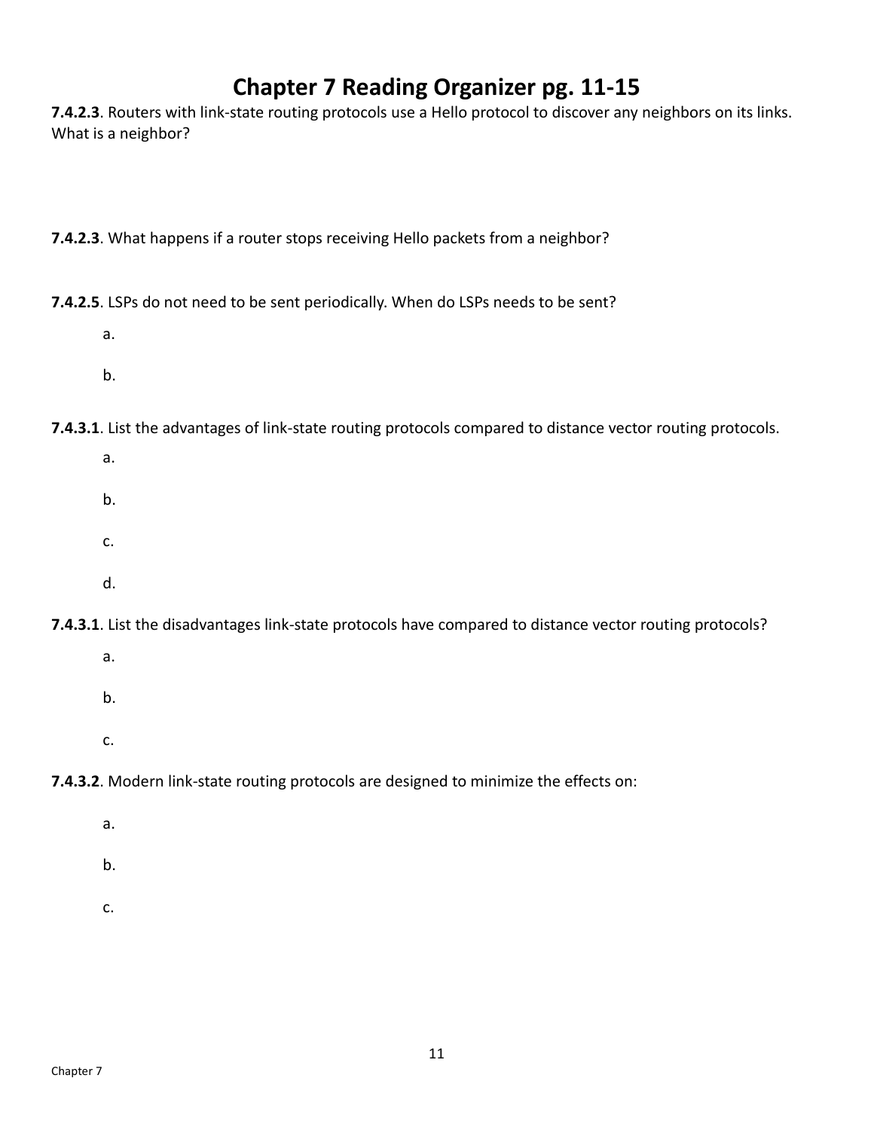## **Chapter 7 Reading Organizer pg. 11‐15**

**7.4.2.3**. Routers with link‐state routing protocols use a Hello protocol to discover any neighbors on its links. What is a neighbor?

**7.4.2.3**. What happens if a router stops receiving Hello packets from a neighbor?

**7.4.2.5**. LSPs do not need to be sent periodically. When do LSPs needs to be sent?

- a.
- b.

**7.4.3.1**. List the advantages of link‐state routing protocols compared to distance vector routing protocols.

- a.
- b.
- c.
- d.

**7.4.3.1**. List the disadvantages link-state protocols have compared to distance vector routing protocols?

- a.
- b.
- c.

**7.4.3.2**. Modern link-state routing protocols are designed to minimize the effects on:

- a.
- b.
- c.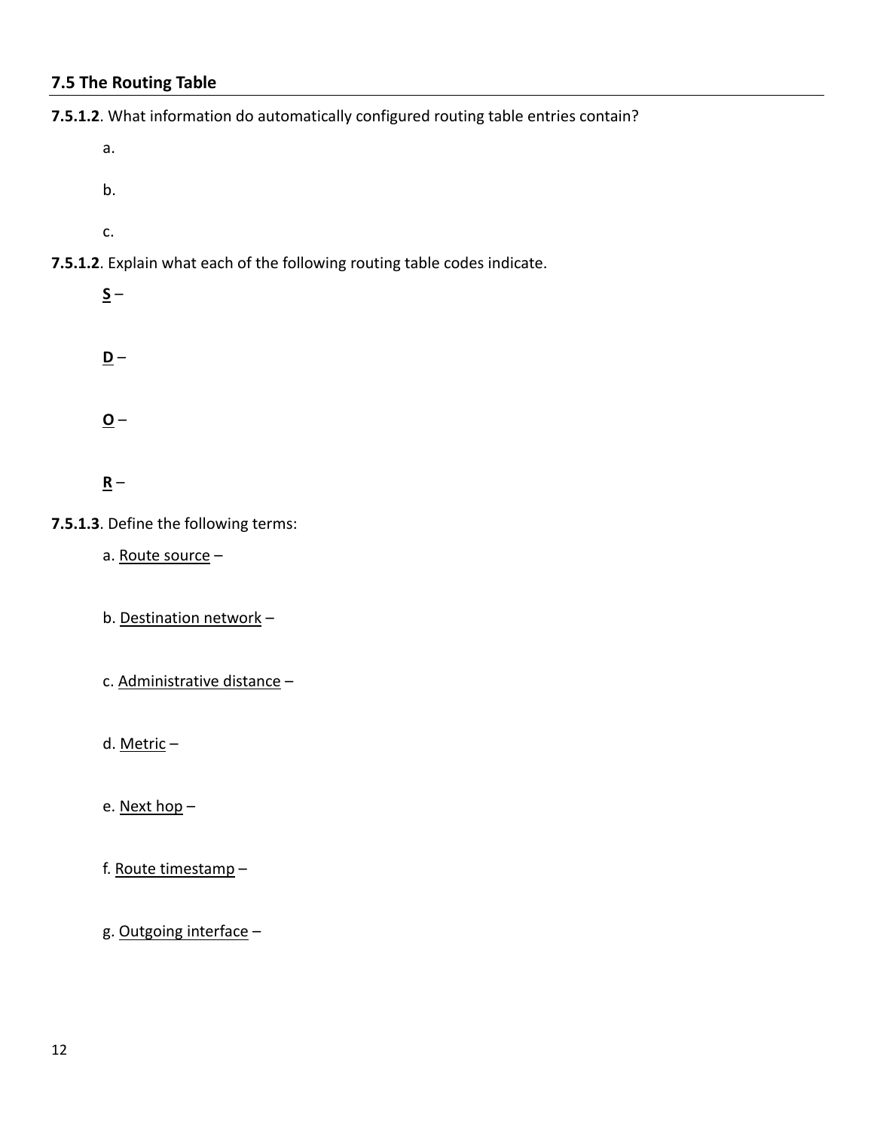## **7.5 The Routing Table**

**7.5.1.2**. What information do automatically configured routing table entries contain?

- a.
- b.
- c.

**7.5.1.2**. Explain what each of the following routing table codes indicate.

 $S -$ 

**D** –

**O** –

## **R** –

**7.5.1.3**. Define the following terms:

a. Route source –

b. Destination network –

c. Administrative distance –

d. Metric –

e. Next hop –

f. Route timestamp –

g. Outgoing interface –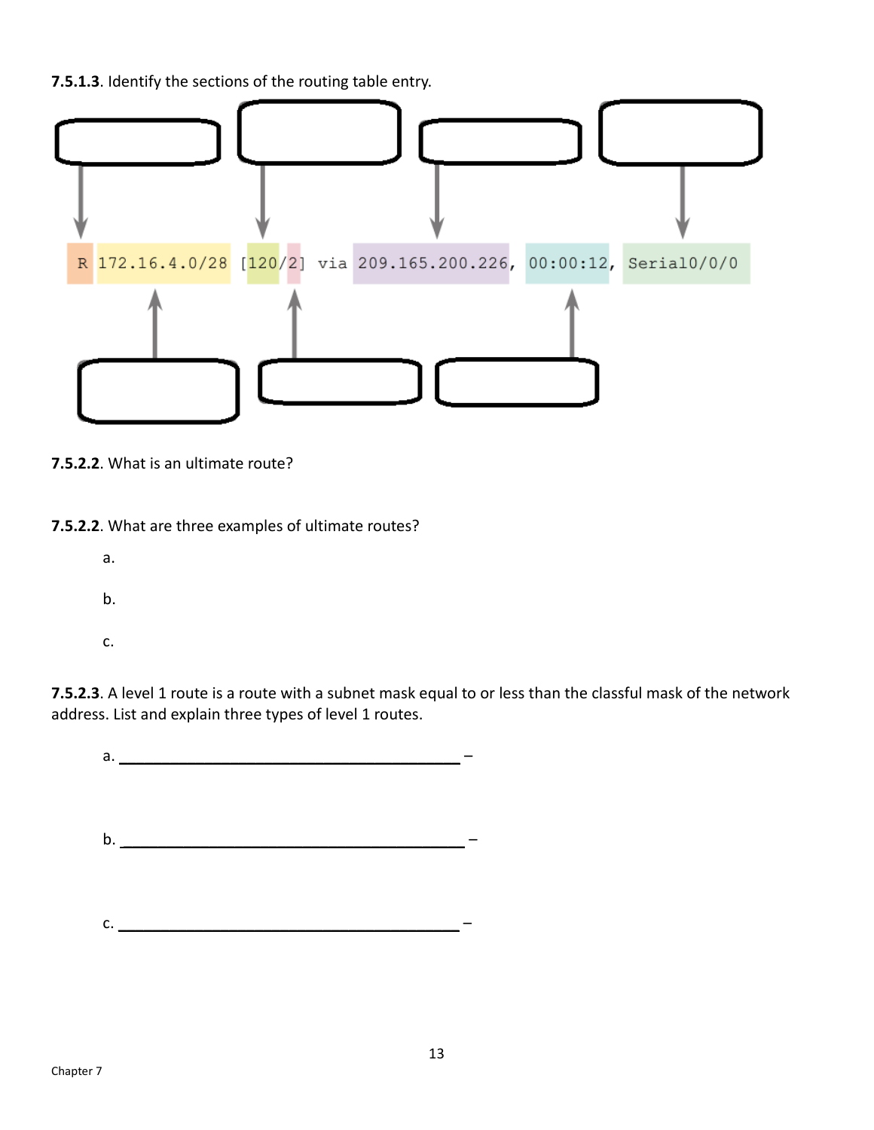**7.5.1.3**. Identify the sections of the routing table entry.



**7.5.2.2**. What is an ultimate route?

**7.5.2.2**. What are three examples of ultimate routes?

- a.
- b.
- c.

**7.5.2.3**. A level 1 route is a route with a subnet mask equal to or less than the classful mask of the network address. List and explain three types of level 1 routes.

a. \_\_\_\_\_\_\_\_\_\_\_\_\_\_\_\_\_\_\_\_\_\_\_\_\_\_\_\_\_\_\_\_\_\_\_\_\_\_\_\_ – b.  $\Box$  $c.$   $\overline{\phantom{a}}$  –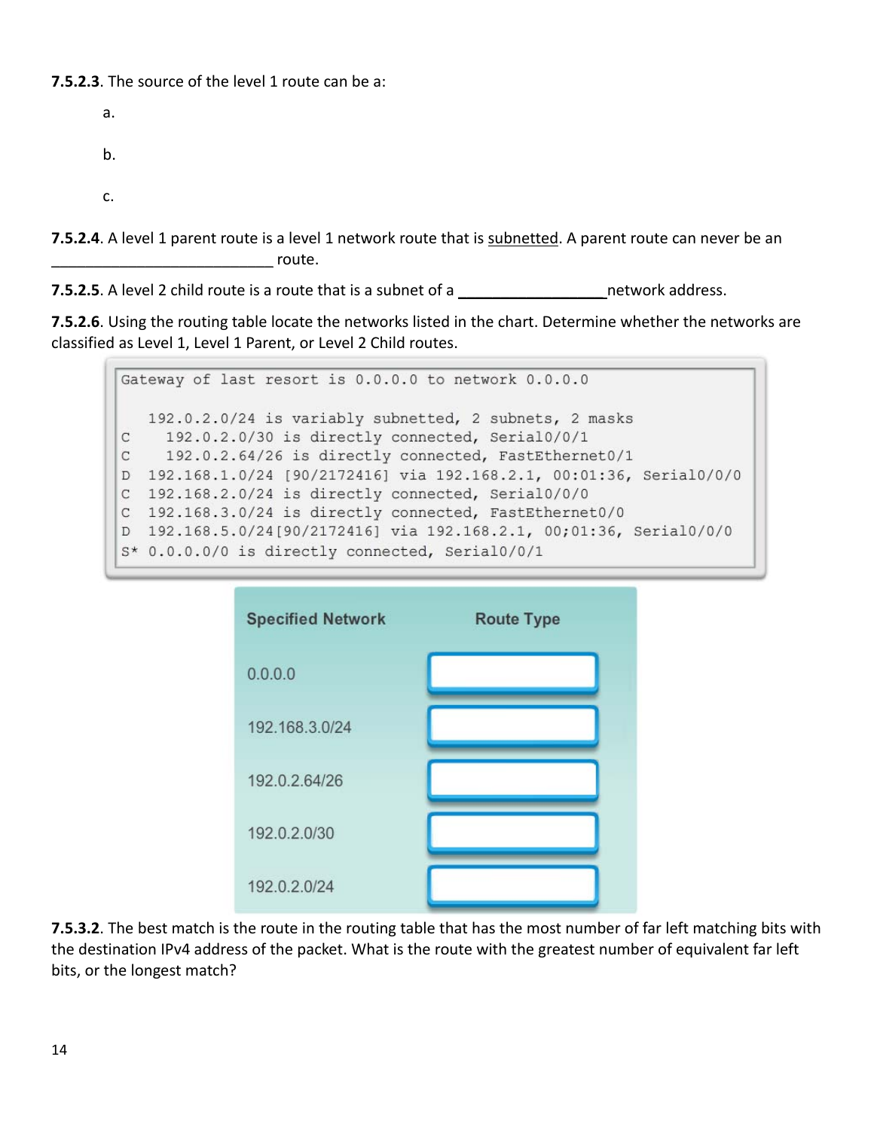## **7.5.2.3**. The source of the level 1 route can be a:

a. b. c.

**7.5.2.4**. A level 1 parent route is a level 1 network route that is subnetted. A parent route can never be an \_\_\_\_\_\_\_\_\_\_\_\_\_\_\_\_\_\_\_\_\_\_\_\_\_\_ route.

**7.5.2.5**. A level 2 child route is a route that is a subnet of a \_\_\_\_\_\_\_\_\_\_\_\_\_\_\_\_\_ network address.

**7.5.2.6**. Using the routing table locate the networks listed in the chart. Determine whether the networks are classified as Level 1, Level 1 Parent, or Level 2 Child routes.

Gateway of last resort is 0.0.0.0 to network 0.0.0.0 192.0.2.0/24 is variably subnetted, 2 subnets, 2 masks 192.0.2.0/30 is directly connected, Serial0/0/1 C 192.0.2.64/26 is directly connected, FastEthernet0/1  $\mathbf{C}$ D 192.168.1.0/24 [90/2172416] via 192.168.2.1, 00:01:36, Serial0/0/0 C 192.168.2.0/24 is directly connected, Serial0/0/0 C 192.168.3.0/24 is directly connected, FastEthernet0/0 D 192.168.5.0/24[90/2172416] via 192.168.2.1, 00;01:36, Serial0/0/0 S\* 0.0.0.0/0 is directly connected, Serial0/0/1



**7.5.3.2**. The best match is the route in the routing table that has the most number of far left matching bits with the destination IPv4 address of the packet. What is the route with the greatest number of equivalent far left bits, or the longest match?